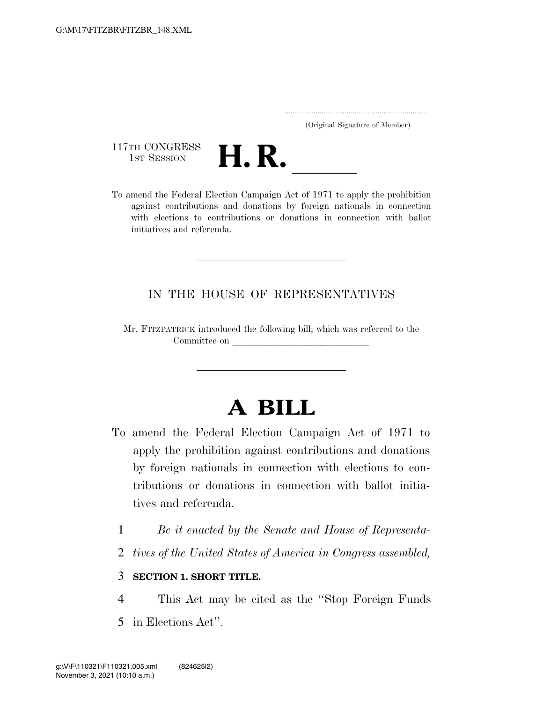..................................................................... (Original Signature of Member)

117TH CONGRESS<br>1st Session



117TH CONGRESS<br>
1st SESSION<br>
To amend the Federal Election Campaign Act of 1971 to apply the prohibition against contributions and donations by foreign nationals in connection with elections to contributions or donations in connection with ballot initiatives and referenda.

## IN THE HOUSE OF REPRESENTATIVES

Mr. FITZPATRICK introduced the following bill; which was referred to the Committee on leads on later was a set of the contract of the contract of the contract of the contract of the contract of the contract of the contract of the contract of the contract of the contract of the contract of the c

## **A BILL**

- To amend the Federal Election Campaign Act of 1971 to apply the prohibition against contributions and donations by foreign nationals in connection with elections to contributions or donations in connection with ballot initiatives and referenda.
	- 1 *Be it enacted by the Senate and House of Representa-*
	- 2 *tives of the United States of America in Congress assembled,*

## 3 **SECTION 1. SHORT TITLE.**

- 4 This Act may be cited as the ''Stop Foreign Funds
- 5 in Elections Act''.